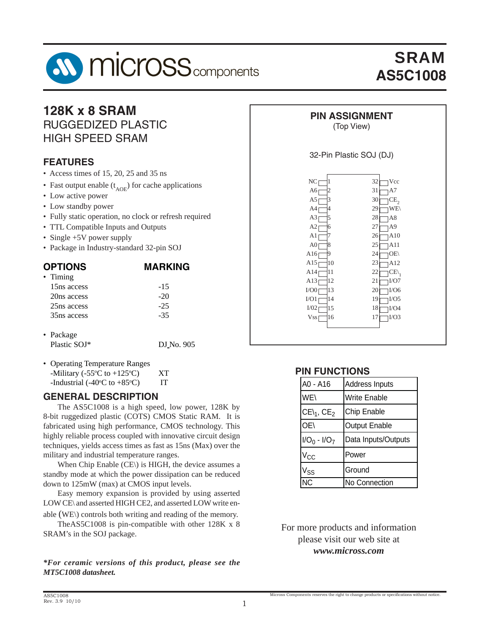

# SRAM **AS5C1008**

### **128K x 8 SRAM** RUGGEDIZED PLASTIC HIGH SPEED SRAM

#### **FEATURES**

- Access times of 15, 20, 25 and 35 ns
- Fast output enable  $(t_{AOF})$  for cache applications
- Low active power
- Low standby power
- Fully static operation, no clock or refresh required
- TTL Compatible Inputs and Outputs
- Single +5V power supply
- Package in Industry-standard 32-pin SOJ

| <b>OPTIONS</b>          | <b>MARKING</b> |
|-------------------------|----------------|
| • Timing                |                |
| 15 <sub>ns</sub> access | $-1.5$         |
| 20ns access             | $-20$          |
| 25ns access             | $-25$          |
| 35 <sub>ns</sub> access | $-35$          |
|                         |                |
| $\bullet$ Package       |                |

- Package Plastic SOJ\* DJ\_No. 905
- Operating Temperature Ranges -Military (-55 $\rm{^{\circ}C}$  to +125 $\rm{^{\circ}}$ C) XT -Industrial (-40 $\degree$ C to +85 $\degree$ C) IT

#### **GENERAL DESCRIPTION**

 The AS5C1008 is a high speed, low power, 128K by 8-bit ruggedized plastic (COTS) CMOS Static RAM. It is fabricated using high performance, CMOS technology. This highly reliable process coupled with innovative circuit design techniques, yields access times as fast as 15ns (Max) over the military and industrial temperature ranges.

 When Chip Enable (CE\) is HIGH, the device assumes a standby mode at which the power dissipation can be reduced down to 125mW (max) at CMOS input levels.

 Easy memory expansion is provided by using asserted LOW CE\ and asserted HIGH CE2, and asserted LOW write en-

able (WE\) controls both writing and reading of the memory. TheAS5C1008 is pin-compatible with other 128K x 8 SRAM's in the SOJ package.

*\*For ceramic versions of this product, please see the MT5C1008 datasheet.*

### **PIN ASSIGNMENT**

#### (Top View)

#### 32-Pin Plastic SOJ (DJ)

| NC               | 32             |
|------------------|----------------|
| 1                | Vcc            |
| A6               | 31             |
| 2                | A7             |
| A5               | 30             |
| 3                | CE,            |
| A4               | 29             |
| 4                | WE\            |
| A3               | 28             |
| 5                | A8             |
| A2               | 27             |
| 6                | A9             |
| A1               | 26             |
| 7                | A10            |
| A0 <sub>I</sub>  | 25             |
| 8                | A11            |
| A16              | 24             |
| 9                | OE\            |
| 10               | 23             |
| A15              | A12            |
| 11               | 22             |
| A14              | $CE\backslash$ |
| 12               | 21             |
| A13              | I/O7           |
| I/O0             | 20             |
| 13               | I/O6           |
| 14               | 19             |
| I/O1             | I/O5           |
| I/02             | 18             |
| 15               | I/O4           |
| Vss <sub>[</sub> | I/O3           |
| 16               | 17             |
|                  |                |
|                  |                |

#### **PIN FUNCTIONS**

| A0 - A16                   | Address Inputs       |
|----------------------------|----------------------|
| WE                         | <b>Write Enable</b>  |
| $CE\mathcal{L}_1$ , $CE_2$ | Chip Enable          |
| OE\                        | <b>Output Enable</b> |
| $I/O_0 - I/O_7$            | Data Inputs/Outputs  |
| $V_{\rm CC}$               | Power                |
| Vss                        | Ground               |
|                            | No Connection        |

For more products and information please visit our web site at *www.micross.com*

Micross Components reserves the right to change products or specifications without notice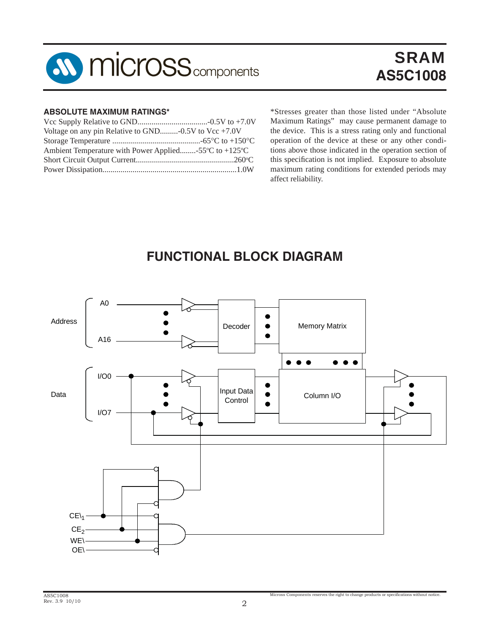

# SRAM **AS5C1008**

#### **ABSOLUTE MAXIMUM RATINGS\***

| Voltage on any pin Relative to GND- $0.5V$ to Vcc +7.0V                     |
|-----------------------------------------------------------------------------|
|                                                                             |
| Ambient Temperature with Power Applied-55 $\mathrm{C}$ to +125 $\mathrm{C}$ |
|                                                                             |
|                                                                             |
|                                                                             |

\*Stresses greater than those listed under "Absolute Maximum Ratings" may cause permanent damage to the device. This is a stress rating only and functional operation of the device at these or any other conditions above those indicated in the operation section of this specification is not implied. Exposure to absolute maximum rating conditions for extended periods may affect reliability.

## **FUNCTIONAL BLOCK DIAGRAM**

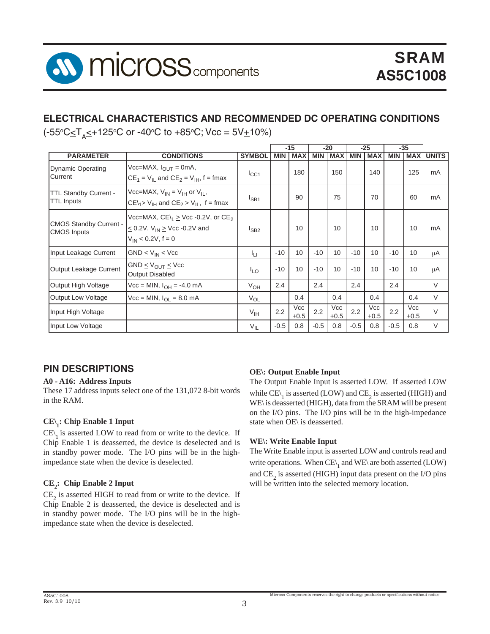

#### **ELECTRICAL CHARACTERISTICS AND RECOMMENDED DC OPERATING CONDITIONS**

(-55°C≤T<sub>A</sub>≤+125°C or -40°C to +85°C; Vcc = 5V±10%)

|                                                     |                                                                                                                                           |                 |            | $-15$                |            | $-20$                |            | $-25$                |            | $-35$                |                  |
|-----------------------------------------------------|-------------------------------------------------------------------------------------------------------------------------------------------|-----------------|------------|----------------------|------------|----------------------|------------|----------------------|------------|----------------------|------------------|
| <b>PARAMETER</b>                                    | <b>CONDITIONS</b>                                                                                                                         | <b>SYMBOL</b>   | <b>MIN</b> | <b>MAX</b>           | <b>MIN</b> | <b>MAX</b>           | <b>MIN</b> | <b>MAX</b>           | <b>MIN</b> |                      | <b>MAX UNITS</b> |
| <b>Dynamic Operating</b><br>Current                 | $Vcc=MAX, IOUT = 0mA,$<br>$CE_1 = V_{IL}$ and $CE_2 = V_{IH}$ , f = fmax                                                                  | $I_{\rm CC1}$   |            | 180                  |            | 150                  |            | 140                  |            | 125                  | mA               |
| <b>TTL Standby Current -</b><br><b>TTL Inputs</b>   | Vcc=MAX, $V_{IN} = V_{IH}$ or $V_{II}$ ,<br>$CE\{1\geq V_{\text{IH}}\}$ and $CE_2 \geq V_{\text{II}}$ , f = fmax                          | $I_{SB1}$       |            | 90                   |            | 75                   |            | 70                   |            | 60                   | mA               |
| <b>CMOS Standby Current -</b><br><b>CMOS</b> Inputs | Vcc=MAX, $CE\left\{ \right\}$ $\geq$ Vcc -0.2V, or $CE2$<br>$\leq$ 0.2V, V <sub>IN</sub> $\geq$ Vcc -0.2V and<br>$V_{IN} \le 0.2V, f = 0$ | $I_{SB2}$       |            | 10                   |            | 10                   |            | 10                   |            | 10                   | mA               |
| Input Leakage Current                               | $GND \leq V_{IN} \leq Vcc$                                                                                                                | Īц              | $-10$      | 10                   | $-10$      | 10                   | $-10$      | 10                   | $-10$      | 10                   | μA               |
| Output Leakage Current                              | $GND \leq V_{OUIT} \leq Vcc$<br><b>Output Disabled</b>                                                                                    | $I_{LO}$        | $-10$      | 10                   | $-10$      | 10                   | $-10$      | 10                   | $-10$      | 10                   | μA               |
| Output High Voltage                                 | $\text{Vcc} = \text{MIN}, l_{\text{OH}} = -4.0 \text{ mA}$                                                                                | $V_{OH}$        | 2.4        |                      | 2.4        |                      | 2.4        |                      | 2.4        |                      | V                |
| Output Low Voltage                                  | $\text{Vcc} = \text{MIN}, l_{\text{OL}} = 8.0 \text{ mA}$                                                                                 | $V_{OL}$        |            | 0.4                  |            | 0.4                  |            | 0.4                  |            | 0.4                  | $\vee$           |
| Input High Voltage                                  |                                                                                                                                           | $V_{\text{IH}}$ | 2.2        | <b>Vcc</b><br>$+0.5$ | 2.2        | <b>Vcc</b><br>$+0.5$ | 2.2        | <b>Vcc</b><br>$+0.5$ | 2.2        | <b>Vcc</b><br>$+0.5$ | $\vee$           |
| Input Low Voltage                                   |                                                                                                                                           | $V_{IL}$        | $-0.5$     | 0.8                  | $-0.5$     | 0.8                  | $-0.5$     | 0.8                  | $-0.5$     | 0.8                  | $\vee$           |

#### **PIN DESCRIPTIONS**

#### **A0 - A16: Address Inputs**

These 17 address inputs select one of the 131,072 8-bit words in the RAM.

#### **CE\1 : Chip Enable 1 Input**

 $CE\backslash$  is asserted LOW to read from or write to the device. If Chip Enable 1 is deasserted, the device is deselected and is in standby power mode. The I/O pins will be in the highimpedance state when the device is deselected.

#### **CE2 : Chip Enable 2 Input**

 $CE_2$  is asserted HIGH to read from or write to the device. If Chip Enable 2 is deasserted, the device is deselected and is in standby power mode. The I/O pins will be in the highimpedance state when the device is deselected.

#### **OE\: Output Enable Input**

The Output Enable Input is asserted LOW. If asserted LOW while  $\mathrm{CE}_{\setminus_1}$  is asserted (LOW) and  $\mathrm{CE}_2$  is asserted (HIGH) and WE\ is deasserted (HIGH), data from the SRAM will be present on the I/O pins. The I/O pins will be in the high-impedance state when OE\ is deasserted.

#### **WE\: Write Enable Input**

The Write Enable input is asserted LOW and controls read and write operations. When  $\mathrm{CE}\setminus_1$  and  $\mathrm{WE}\setminus$  are both asserted (LOW) and  $\text{CE}_2$  is asserted (HIGH) input data present on the I/O pins will be written into the selected memory location.

Micross Components reserves the right to change products or specifications without notice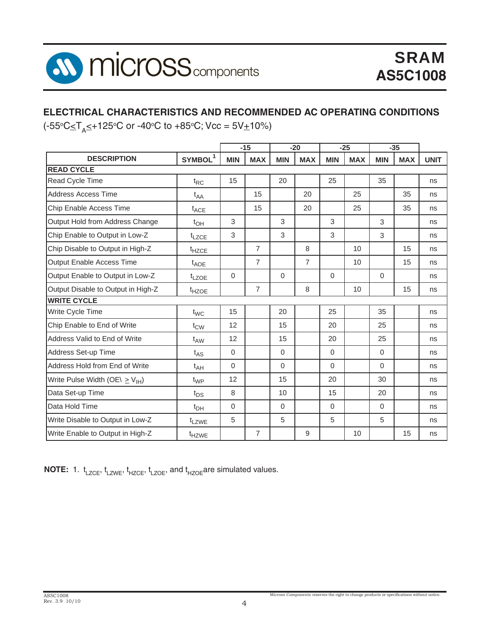

#### **ELECTRICAL CHARACTERISTICS AND RECOMMENDED AC OPERATING CONDITIONS**

(-55°C≤T<sub>A</sub>≤+125°C or -40°C to +85°C; Vcc = 5V±10%)

| $-15$                                           |                     | $-20$<br>$-25$ |                |            | $-35$          |            |            |            |            |             |
|-------------------------------------------------|---------------------|----------------|----------------|------------|----------------|------------|------------|------------|------------|-------------|
| <b>DESCRIPTION</b>                              | SYMBOL <sup>1</sup> | <b>MIN</b>     | <b>MAX</b>     | <b>MIN</b> | <b>MAX</b>     | <b>MIN</b> | <b>MAX</b> | <b>MIN</b> | <b>MAX</b> | <b>UNIT</b> |
| <b>READ CYCLE</b>                               |                     |                |                |            |                |            |            |            |            |             |
| Read Cycle Time                                 | $t_{RC}$            | 15             |                | 20         |                | 25         |            | 35         |            | ns          |
| <b>Address Access Time</b>                      | $t_{AA}$            |                | 15             |            | 20             |            | 25         |            | 35         | ns          |
| Chip Enable Access Time                         | $t_{ACE}$           |                | 15             |            | 20             |            | 25         |            | 35         | ns          |
| Output Hold from Address Change                 | $t_{OH}$            | 3              |                | 3          |                | 3          |            | 3          |            | ns          |
| Chip Enable to Output in Low-Z                  | $t_{LZCE}$          | 3              |                | 3          |                | 3          |            | 3          |            | ns          |
| Chip Disable to Output in High-Z                | t <sub>HZCE</sub>   |                | $\overline{7}$ |            | 8              |            | 10         |            | 15         | ns          |
| Output Enable Access Time                       | $t_{\text{AOF}}$    |                | $\overline{7}$ |            | $\overline{7}$ |            | 10         |            | 15         | ns          |
| Output Enable to Output in Low-Z                | $t_{LZOE}$          | $\Omega$       |                | $\Omega$   |                | $\Omega$   |            | $\Omega$   |            | ns          |
| Output Disable to Output in High-Z              | t <sub>HZOE</sub>   |                | $\overline{7}$ |            | 8              |            | 10         |            | 15         | ns          |
| <b>WRITE CYCLE</b>                              |                     |                |                |            |                |            |            |            |            |             |
| Write Cycle Time                                | $t_{WC}$            | 15             |                | 20         |                | 25         |            | 35         |            | ns          |
| Chip Enable to End of Write                     | $t_{\text{CW}}$     | 12             |                | 15         |                | 20         |            | 25         |            | ns          |
| Address Valid to End of Write                   | $t_{AW}$            | 12             |                | 15         |                | 20         |            | 25         |            | ns          |
| Address Set-up Time                             | $t_{AS}$            | $\Omega$       |                | $\Omega$   |                | $\Omega$   |            | $\Omega$   |            | ns          |
| Address Hold from End of Write                  | $t_{AH}$            | $\Omega$       |                | $\Omega$   |                | $\Omega$   |            | $\Omega$   |            | ns          |
| Write Pulse Width (OE\ $\geq$ V <sub>IH</sub> ) | $t_{WP}$            | 12             |                | 15         |                | 20         |            | 30         |            | ns          |
| Data Set-up Time                                | $t_{DS}$            | 8              |                | 10         |                | 15         |            | 20         |            | ns          |
| Data Hold Time                                  | $t_{DH}$            | $\Omega$       |                | $\Omega$   |                | $\Omega$   |            | $\Omega$   |            | ns          |
| Write Disable to Output in Low-Z                | t <sub>LZWE</sub>   | 5              |                | 5          |                | 5          |            | 5          |            | ns          |
| Write Enable to Output in High-Z                | t <sub>HZWE</sub>   |                | $\overline{7}$ |            | 9              |            | 10         |            | 15         | ns          |

**NOTE:** 1.  $t_{LZCE}$ ,  $t_{LZWE}$ ,  $t_{HZCE}$ ,  $t_{LZOE}$ , and  $t_{HZOE}$  are simulated values.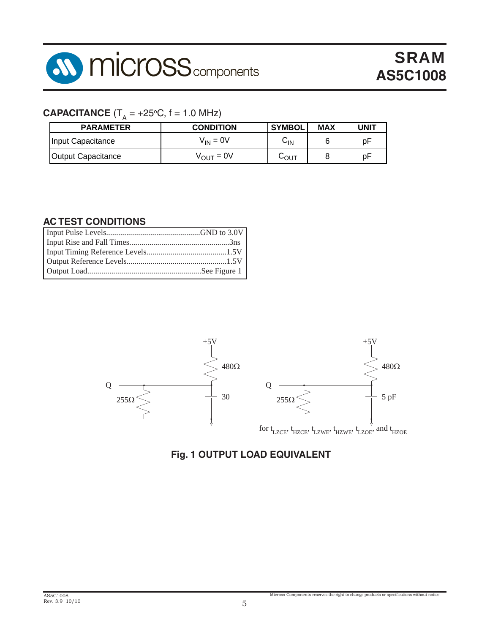

### $\mathbf{CAPACITANCE}$  (T<sub>A</sub> = +25°C, f = 1.0 MHz)

| <b>PARAMETER</b>   | <b>CONDITION</b>      | <b>SYMBOL</b> | <b>MAX</b> | <b>UNIT</b> |
|--------------------|-----------------------|---------------|------------|-------------|
| Input Capacitance  | $V_{IN} = 0V$         | ∨เท           |            | рF          |
| Output Capacitance | $V_{\text{OUT}} = 0V$ | სουτ          |            | рF          |

#### **AC TEST CONDITIONS**



#### **Fig. 1 OUTPUT LOAD EQUIVALENT**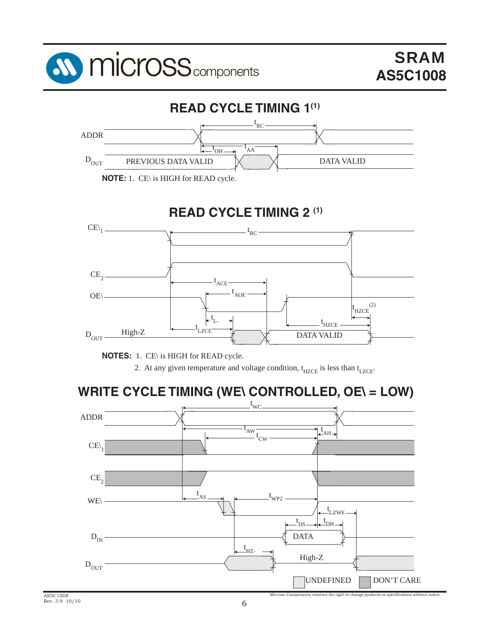



**NOTE:** 1. CE\ is HIGH for READ cycle.

## **READ CYCLE TIMING 2 (1)**



**NOTES:** 1. CE\ is HIGH for READ cycle.

2. At any given temperature and voltage condition,  $t_{HZCE}$  is less than  $t_{LZCE}$ .

## **WRITE CYCLE TIMING (WE\ CONTROLLED, OE\ = LOW)**

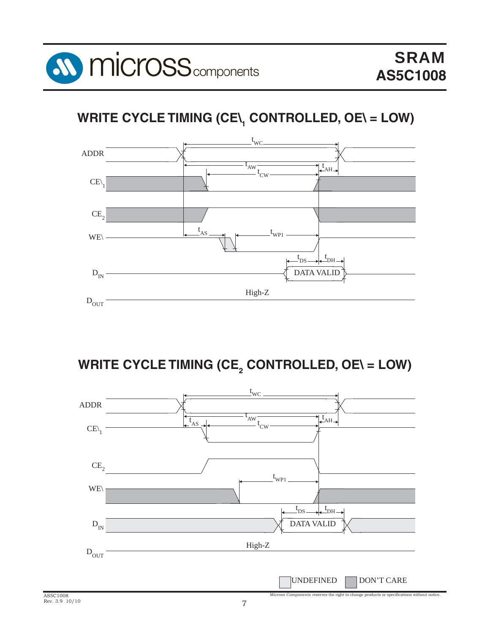

# **WRITE CYCLE TIMING (CE\1 CONTROLLED, OE\ = LOW)**



WRITE CYCLE TIMING (CE<sub>2</sub> CONTROLLED, OE\ = LOW)

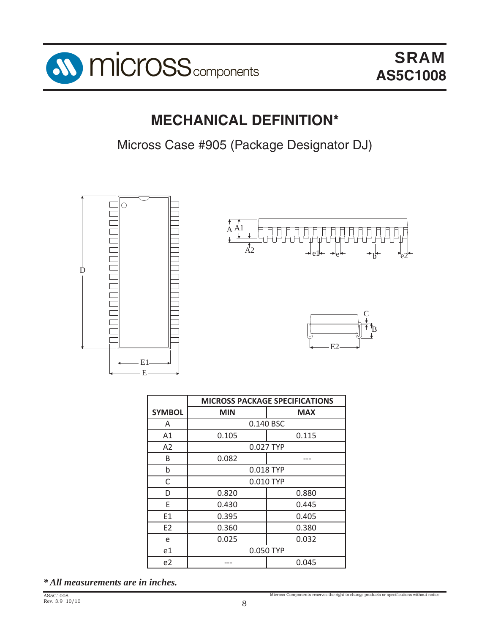

## **MECHANICAL DEFINITION\***

Micross Case #905 (Package Designator DJ)



|                | <b>MICROSS PACKAGE SPECIFICATIONS</b> |            |  |  |  |  |
|----------------|---------------------------------------|------------|--|--|--|--|
| <b>SYMBOL</b>  | <b>MIN</b>                            | <b>MAX</b> |  |  |  |  |
| A              |                                       | 0.140 BSC  |  |  |  |  |
| A1             | 0.105                                 | 0.115      |  |  |  |  |
| A2             |                                       | 0.027 TYP  |  |  |  |  |
| B              | 0.082                                 |            |  |  |  |  |
| b              |                                       | 0.018 TYP  |  |  |  |  |
| C              |                                       | 0.010 TYP  |  |  |  |  |
| D              | 0.820                                 | 0.880      |  |  |  |  |
| F              | 0.430                                 | 0.445      |  |  |  |  |
| E1             | 0.395                                 | 0.405      |  |  |  |  |
| E <sub>2</sub> | 0.360                                 | 0.380      |  |  |  |  |
| e              | 0.025                                 | 0.032      |  |  |  |  |
| e1             |                                       | 0.050 TYP  |  |  |  |  |
| e <sub>2</sub> |                                       | 0.045      |  |  |  |  |

*\* All measurements are in inches.*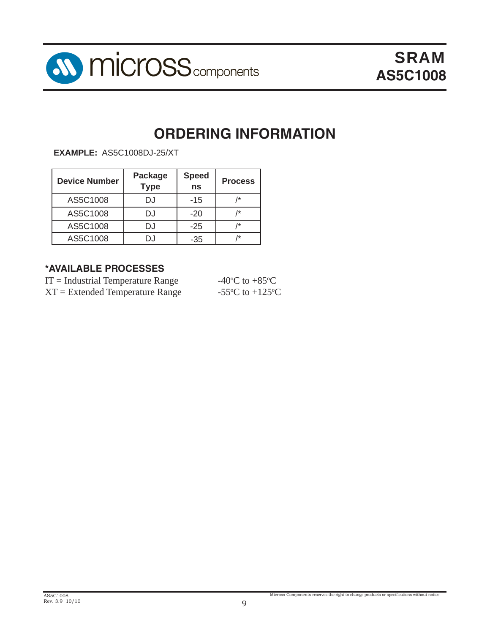

## **ORDERING INFORMATION**

**EXAMPLE:** AS5C1008DJ-25/XT

| <b>Device Number</b> | <b>Package</b><br><b>Type</b> | <b>Speed</b><br>ns | <b>Process</b> |
|----------------------|-------------------------------|--------------------|----------------|
| AS5C1008             | DJ                            | $-15$              | /*             |
| AS5C1008             | DJ                            | $-20$              | /*             |
| AS5C1008             | DJ                            | $-25$              | /*             |
| AS5C1008             | D.I                           | -35                | /*             |

#### **\*AVAILABLE PROCESSES**

| $IT = Industrial Temperature Range$ | -40 $\rm{^{\circ}C}$ to +85 $\rm{^{\circ}C}$ |
|-------------------------------------|----------------------------------------------|
| $XT = Extended Temperature Range$   | -55 $^{\circ}$ C to +125 $^{\circ}$ C        |